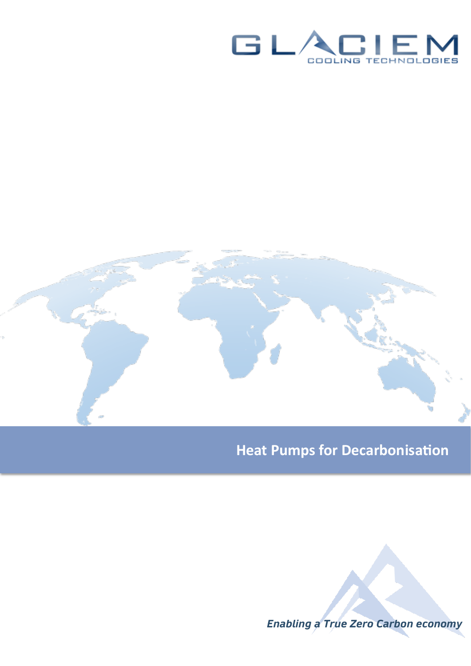



# **Heat Pumps for Decarbonisation**

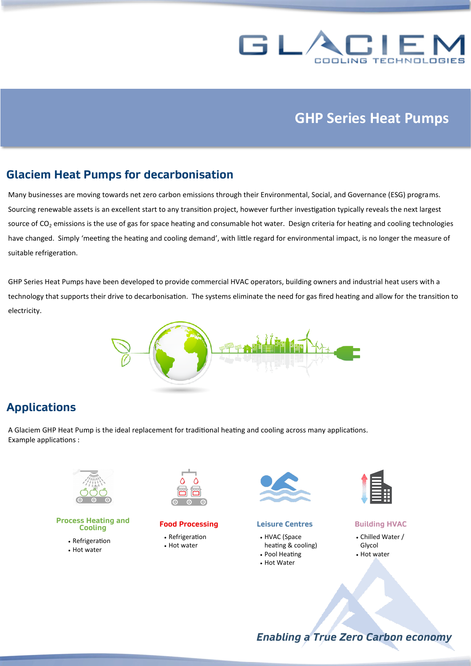

## **GHP Series Heat Pumps**

### **Glaciem Heat Pumps for decarbonisation**

Many businesses are moving towards net zero carbon emissions through their Environmental, Social, and Governance (ESG) programs. Sourcing renewable assets is an excellent start to any transition project, however further investigation typically reveals the next largest source of  $CO<sub>2</sub>$  emissions is the use of gas for space heating and consumable hot water. Design criteria for heating and cooling technologies have changed. Simply 'meeting the heating and cooling demand', with little regard for environmental impact, is no longer the measure of suitable refrigeration.

GHP Series Heat Pumps have been developed to provide commercial HVAC operators, building owners and industrial heat users with a technology that supports their drive to decarbonisation. The systems eliminate the need for gas fired heating and allow for the transition to electricity.



### **Applications**

A Glaciem GHP Heat Pump is the ideal replacement for traditional heating and cooling across many applications. Example applications :



#### **Process Heating and Cooling**

- Refrigeration
- Hot water



#### **Food Processing**

- Refrigeration
- Hot water



#### **Leisure Centres**

- HVAC (Space heating & cooling)
- Pool Heating
- Hot Water



#### **Building HVAC**

- Chilled Water / Glycol
- Hot water

*Enabling a True Zero Carbon economy*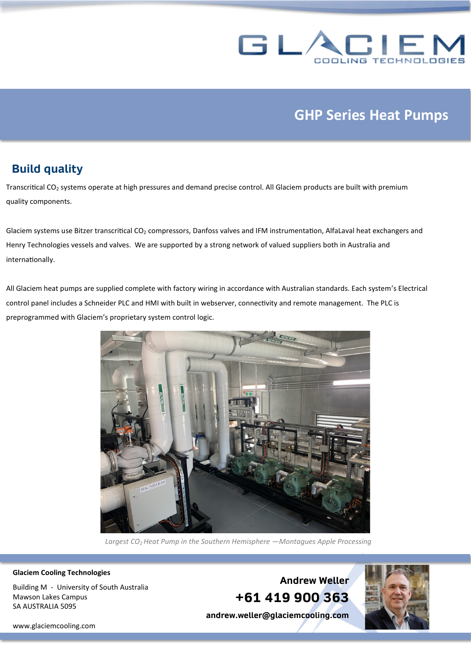

# **GHP Series Heat Pumps**

### **Build quality**

Transcritical CO<sub>2</sub> systems operate at high pressures and demand precise control. All Glaciem products are built with premium quality components.

Glaciem systems use Bitzer transcritical CO<sub>2</sub> compressors, Danfoss valves and IFM instrumentation, AlfaLaval heat exchangers and Henry Technologies vessels and valves. We are supported by a strong network of valued suppliers both in Australia and internationally.

All Glaciem heat pumps are supplied complete with factory wiring in accordance with Australian standards. Each system's Electrical control panel includes a Schneider PLC and HMI with built in webserver, connectivity and remote management. The PLC is preprogrammed with Glaciem's proprietary system control logic.



*Largest CO2 Heat Pump in the Southern Hemisphere —Montagues Apple Processing*

**Glaciem Cooling Technologies**

Building M - University of South Australia Mawson Lakes Campus SA AUSTRALIA 5095

**Andrew Weller +61 419 900 363**

**andrew.weller@glaciemcooling.com**



<www.glaciemcooling.com>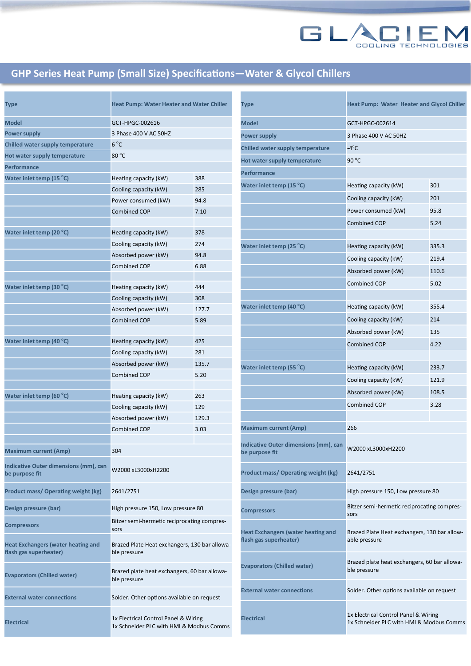

### **GHP Series Heat Pump (Small Size) Specifications—Water & Glycol Chillers**

| Type                                                                | <b>Heat Pump: Water Heater and Water Chiller</b>                                 |       |
|---------------------------------------------------------------------|----------------------------------------------------------------------------------|-------|
| Model                                                               | GCT-HPGC-002616                                                                  |       |
| Power supply                                                        | 3 Phase 400 V AC 50HZ                                                            |       |
| Chilled water supply temperature                                    | 6 °C                                                                             |       |
| Hot water supply temperature                                        | $80^{\circ}$ C                                                                   |       |
| Performance                                                         |                                                                                  |       |
| Water inlet temp (15 °C)                                            | Heating capacity (kW)                                                            | 388   |
|                                                                     | Cooling capacity (kW)                                                            | 285   |
|                                                                     | Power consumed (kW)                                                              | 94.8  |
|                                                                     | <b>Combined COP</b>                                                              | 7.10  |
|                                                                     |                                                                                  |       |
| Water inlet temp (20 °C)                                            | Heating capacity (kW)                                                            | 378   |
|                                                                     | Cooling capacity (kW)                                                            | 274   |
|                                                                     | Absorbed power (kW)                                                              | 94.8  |
|                                                                     | <b>Combined COP</b>                                                              | 6.88  |
|                                                                     |                                                                                  |       |
| Water inlet temp (30 °C)                                            | Heating capacity (kW)                                                            | 444   |
|                                                                     | Cooling capacity (kW)                                                            | 308   |
|                                                                     | Absorbed power (kW)                                                              | 127.7 |
|                                                                     | <b>Combined COP</b>                                                              | 5.89  |
|                                                                     |                                                                                  |       |
| Water inlet temp (40 °C)                                            | Heating capacity (kW)                                                            | 425   |
|                                                                     | Cooling capacity (kW)                                                            | 281   |
|                                                                     | Absorbed power (kW)                                                              | 135.7 |
|                                                                     | <b>Combined COP</b>                                                              | 5.20  |
| Water inlet temp (60 °C)                                            | Heating capacity (kW)                                                            | 263   |
|                                                                     | Cooling capacity (kW)                                                            | 129   |
|                                                                     | Absorbed power (kW)                                                              | 129.3 |
|                                                                     | <b>Combined COP</b>                                                              | 3.03  |
|                                                                     |                                                                                  |       |
| <b>Maximum current (Amp)</b>                                        | 304                                                                              |       |
|                                                                     |                                                                                  |       |
| <b>Indicative Outer dimensions (mm), can</b><br>be purpose fit      | W2000 xL3000xH2200                                                               |       |
| Product mass/ Operating weight (kg)                                 | 2641/2751                                                                        |       |
| Design pressure (bar)                                               | High pressure 150, Low pressure 80                                               |       |
| <b>Compressors</b>                                                  | Bitzer semi-hermetic reciprocating compres-<br>sors                              |       |
| <b>Heat Exchangers (water heating and</b><br>flash gas superheater) | Brazed Plate Heat exchangers, 130 bar allowa-<br>ble pressure                    |       |
| <b>Evaporators (Chilled water)</b>                                  | Brazed plate heat exchangers, 60 bar allowa-<br>ble pressure                     |       |
| <b>External water connections</b>                                   | Solder. Other options available on request                                       |       |
| <b>Electrical</b>                                                   | 1x Electrical Control Panel & Wiring<br>1x Schneider PLC with HMI & Modbus Comms |       |

| <b>Type</b>                                                         | Heat Pump: Water Heater and Glycol Chiller                                       |       |
|---------------------------------------------------------------------|----------------------------------------------------------------------------------|-------|
| <b>Model</b>                                                        | GCT-HPGC-002614                                                                  |       |
| <b>Power supply</b>                                                 | 3 Phase 400 V AC 50HZ                                                            |       |
| Chilled water supply temperature                                    | $-4^{\circ}$ C                                                                   |       |
| Hot water supply temperature                                        | 90 $^{\circ}$ C                                                                  |       |
| Performance                                                         |                                                                                  |       |
| Water inlet temp (15 °C)                                            | Heating capacity (kW)                                                            | 301   |
|                                                                     | Cooling capacity (kW)                                                            | 201   |
|                                                                     | Power consumed (kW)                                                              | 95.8  |
|                                                                     | <b>Combined COP</b>                                                              | 5.24  |
|                                                                     |                                                                                  |       |
| Water inlet temp (25 °C)                                            | Heating capacity (kW)                                                            | 335.3 |
|                                                                     | Cooling capacity (kW)                                                            | 219.4 |
|                                                                     | Absorbed power (kW)                                                              | 110.6 |
|                                                                     | <b>Combined COP</b>                                                              | 5.02  |
|                                                                     |                                                                                  |       |
| Water inlet temp (40 °C)                                            | Heating capacity (kW)                                                            | 355.4 |
|                                                                     | Cooling capacity (kW)                                                            | 214   |
|                                                                     | Absorbed power (kW)                                                              | 135   |
|                                                                     | <b>Combined COP</b>                                                              | 4.22  |
|                                                                     |                                                                                  |       |
| Water inlet temp (55 °C)                                            | Heating capacity (kW)                                                            | 233.7 |
|                                                                     | Cooling capacity (kW)                                                            | 121.9 |
|                                                                     | Absorbed power (kW)                                                              | 108.5 |
|                                                                     | <b>Combined COP</b>                                                              | 3.28  |
|                                                                     |                                                                                  |       |
| <b>Maximum current (Amp)</b>                                        | 266                                                                              |       |
| Indicative Outer dimensions (mm), can<br>be purpose fit             | W2000 xL3000xH2200                                                               |       |
| Product mass/Operating weight (kg)                                  | 2641/2751                                                                        |       |
| Design pressure (bar)                                               | High pressure 150, Low pressure 80                                               |       |
| <b>Compressors</b>                                                  | Bitzer semi-hermetic reciprocating compres-<br>sors                              |       |
| <b>Heat Exchangers (water heating and</b><br>flash gas superheater) | Brazed Plate Heat exchangers, 130 bar allow-<br>able pressure                    |       |
| <b>Evaporators (Chilled water)</b>                                  | Brazed plate heat exchangers, 60 bar allowa-<br>ble pressure                     |       |
| <b>External water connections</b>                                   | Solder. Other options available on request                                       |       |
| <b>Electrical</b>                                                   | 1x Electrical Control Panel & Wiring<br>1x Schneider PLC with HMI & Modbus Comms |       |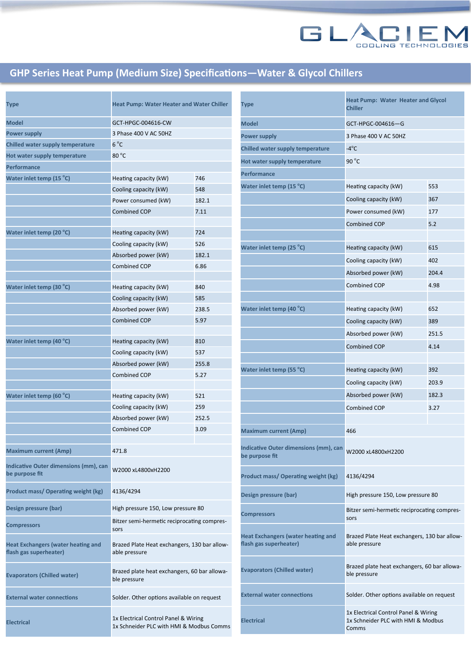

## **GHP Series Heat Pump (Medium Size) Specifications—Water & Glycol Chillers**

| <b>Type</b>                                                         | <b>Heat Pump: Water Heater and Water Chiller</b>                                 |       |
|---------------------------------------------------------------------|----------------------------------------------------------------------------------|-------|
| <b>Model</b>                                                        | GCT-HPGC-004616-CW                                                               |       |
| Power supply                                                        | 3 Phase 400 V AC 50HZ                                                            |       |
| Chilled water supply temperature                                    | $6^{\circ}$ C                                                                    |       |
| Hot water supply temperature                                        | $80^{\circ}$ C                                                                   |       |
| <b>Performance</b>                                                  |                                                                                  |       |
| Water inlet temp (15 °C)                                            | Heating capacity (kW)                                                            | 746   |
|                                                                     | Cooling capacity (kW)                                                            | 548   |
|                                                                     | Power consumed (kW)                                                              | 182.1 |
|                                                                     | <b>Combined COP</b>                                                              | 7.11  |
|                                                                     |                                                                                  |       |
| Water inlet temp (20 °C)                                            | Heating capacity (kW)                                                            | 724   |
|                                                                     | Cooling capacity (kW)                                                            | 526   |
|                                                                     | Absorbed power (kW)                                                              | 182.1 |
|                                                                     | Combined COP                                                                     | 6.86  |
|                                                                     |                                                                                  |       |
| Water inlet temp (30 °C)                                            | Heating capacity (kW)                                                            | 840   |
|                                                                     | Cooling capacity (kW)                                                            | 585   |
|                                                                     | Absorbed power (kW)                                                              | 238.5 |
|                                                                     | <b>Combined COP</b>                                                              | 5.97  |
|                                                                     |                                                                                  |       |
| Water inlet temp (40 °C)                                            | Heating capacity (kW)                                                            | 810   |
|                                                                     | Cooling capacity (kW)                                                            | 537   |
|                                                                     | Absorbed power (kW)                                                              | 255.8 |
|                                                                     | <b>Combined COP</b>                                                              | 5.27  |
|                                                                     |                                                                                  |       |
| Water inlet temp (60 °C)                                            | Heating capacity (kW)                                                            | 521   |
|                                                                     | Cooling capacity (kW)                                                            | 259   |
|                                                                     | Absorbed power (kW)                                                              | 252.5 |
|                                                                     | <b>Combined COP</b>                                                              | 3.09  |
| <b>Maximum current (Amp)</b>                                        | 471.8                                                                            |       |
|                                                                     |                                                                                  |       |
| Indicative Outer dimensions (mm), can<br>be purpose fit             | W2000 xL4800xH2200                                                               |       |
| <b>Product mass/ Operating weight (kg)</b>                          | 4136/4294                                                                        |       |
| Design pressure (bar)                                               | High pressure 150, Low pressure 80                                               |       |
| <b>Compressors</b>                                                  | Bitzer semi-hermetic reciprocating compres-<br>sors                              |       |
| <b>Heat Exchangers (water heating and</b><br>flash gas superheater) | Brazed Plate Heat exchangers, 130 bar allow-<br>able pressure                    |       |
| <b>Evaporators (Chilled water)</b>                                  | Brazed plate heat exchangers, 60 bar allowa-<br>ble pressure                     |       |
| <b>External water connections</b>                                   | Solder. Other options available on request                                       |       |
| <b>Electrical</b>                                                   | 1x Electrical Control Panel & Wiring<br>1x Schneider PLC with HMI & Modbus Comms |       |

| Type                                                                | <b>Heat Pump: Water Heater and Glycol</b><br><b>Chiller</b>                         |       |
|---------------------------------------------------------------------|-------------------------------------------------------------------------------------|-------|
| <b>Model</b>                                                        | GCT-HPGC-004616-G                                                                   |       |
| <b>Power supply</b>                                                 | 3 Phase 400 V AC 50HZ                                                               |       |
| Chilled water supply temperature                                    | $-4^{\circ}$ C                                                                      |       |
| Hot water supply temperature                                        | 90 $^{\circ}$ C                                                                     |       |
| Performance                                                         |                                                                                     |       |
| Water inlet temp (15 °C)                                            | Heating capacity (kW)                                                               | 553   |
|                                                                     | Cooling capacity (kW)                                                               | 367   |
|                                                                     | Power consumed (kW)                                                                 | 177   |
|                                                                     | <b>Combined COP</b>                                                                 | 5.2   |
|                                                                     |                                                                                     |       |
| Water inlet temp (25 °C)                                            | Heating capacity (kW)                                                               | 615   |
|                                                                     | Cooling capacity (kW)                                                               | 402   |
|                                                                     | Absorbed power (kW)                                                                 | 204.4 |
|                                                                     | <b>Combined COP</b>                                                                 | 4.98  |
|                                                                     |                                                                                     |       |
| Water inlet temp (40 °C)                                            | Heating capacity (kW)                                                               | 652   |
|                                                                     | Cooling capacity (kW)                                                               | 389   |
|                                                                     | Absorbed power (kW)                                                                 | 251.5 |
|                                                                     | <b>Combined COP</b>                                                                 | 4.14  |
|                                                                     |                                                                                     |       |
| Water inlet temp (55 °C)                                            | Heating capacity (kW)                                                               | 392   |
|                                                                     | Cooling capacity (kW)                                                               | 203.9 |
|                                                                     | Absorbed power (kW)                                                                 | 182.3 |
|                                                                     | <b>Combined COP</b>                                                                 | 3.27  |
|                                                                     |                                                                                     |       |
| <b>Maximum current (Amp)</b>                                        | 466                                                                                 |       |
| Indicative Outer dimensions (mm), can<br>be purpose fit             | W2000 xL4800xH2200                                                                  |       |
| <b>Product mass/ Operating weight (kg)</b>                          | 4136/4294                                                                           |       |
| Design pressure (bar)                                               | High pressure 150, Low pressure 80                                                  |       |
| <b>Compressors</b>                                                  | Bitzer semi-hermetic reciprocating compres-<br>sors                                 |       |
| <b>Heat Exchangers (water heating and</b><br>flash gas superheater) | Brazed Plate Heat exchangers, 130 bar allow-<br>able pressure                       |       |
| <b>Evaporators (Chilled water)</b>                                  | Brazed plate heat exchangers, 60 bar allowa-<br>ble pressure                        |       |
| <b>External water connections</b>                                   | Solder. Other options available on request                                          |       |
| <b>Electrical</b>                                                   | 1x Electrical Control Panel & Wiring<br>1x Schneider PLC with HMI & Modbus<br>Comms |       |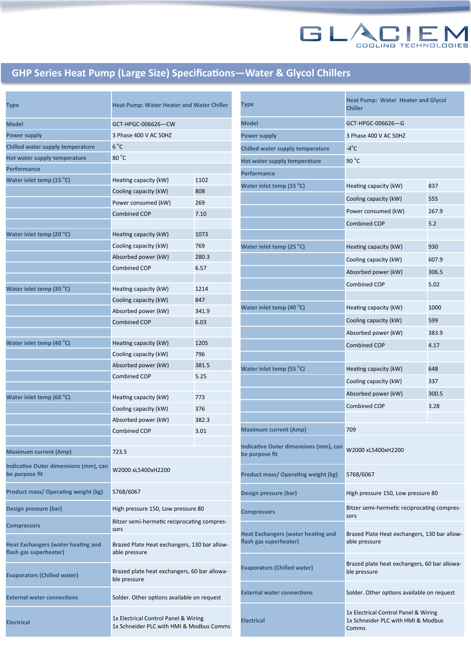

## **GHP Series Heat Pump (Large Size) Specifications—Water & Glycol Chillers**

| Type                                                                | <b>Heat Pump: Water Heater and Water Chiller</b>                                 |       |
|---------------------------------------------------------------------|----------------------------------------------------------------------------------|-------|
| Model                                                               | GCT-HPGC-006626-CW                                                               |       |
| Power supply                                                        | 3 Phase 400 V AC 50HZ                                                            |       |
| <b>Chilled water supply temperature</b>                             | $6^{\circ}$ C                                                                    |       |
| Hot water supply temperature                                        | 80 $^{\circ}$ C                                                                  |       |
| Performance                                                         |                                                                                  |       |
| Water inlet temp (15 °C)                                            | Heating capacity (kW)                                                            | 1102  |
|                                                                     | Cooling capacity (kW)                                                            | 808   |
|                                                                     | Power consumed (kW)                                                              | 269   |
|                                                                     | <b>Combined COP</b>                                                              | 7.10  |
|                                                                     |                                                                                  |       |
| Water inlet temp (20 °C)                                            | Heating capacity (kW)                                                            | 1073  |
|                                                                     | Cooling capacity (kW)                                                            | 769   |
|                                                                     | Absorbed power (kW)                                                              | 280.3 |
|                                                                     | <b>Combined COP</b>                                                              | 6.57  |
|                                                                     |                                                                                  |       |
| Water inlet temp (30 °C)                                            | Heating capacity (kW)                                                            | 1214  |
|                                                                     | Cooling capacity (kW)                                                            | 847   |
|                                                                     | Absorbed power (kW)                                                              | 341.9 |
|                                                                     | <b>Combined COP</b>                                                              | 6.03  |
|                                                                     |                                                                                  |       |
| Water inlet temp (40 °C)                                            | Heating capacity (kW)                                                            | 1205  |
|                                                                     | Cooling capacity (kW)                                                            | 796   |
|                                                                     | Absorbed power (kW)                                                              | 381.5 |
|                                                                     | <b>Combined COP</b>                                                              | 5.25  |
|                                                                     |                                                                                  |       |
| Water inlet temp (60 °C)                                            | Heating capacity (kW)                                                            | 773   |
|                                                                     | Cooling capacity (kW)                                                            | 376   |
|                                                                     | Absorbed power (kW)                                                              | 382.3 |
|                                                                     | <b>Combined COP</b>                                                              | 3.01  |
|                                                                     |                                                                                  |       |
| <b>Maximum current (Amp)</b>                                        | 723.5                                                                            |       |
| Indicative Outer dimensions (mm), can<br>be purpose fit             | W2000 xL5400xH2200                                                               |       |
| Product mass/ Operating weight (kg)                                 | 5768/6067                                                                        |       |
| Design pressure (bar)                                               | High pressure 150, Low pressure 80                                               |       |
| <b>Compressors</b>                                                  | Bitzer semi-hermetic reciprocating compres-<br>sors                              |       |
| <b>Heat Exchangers (water heating and</b><br>flash gas superheater) | Brazed Plate Heat exchangers, 130 bar allow-<br>able pressure                    |       |
| <b>Evaporators (Chilled water)</b>                                  | Brazed plate heat exchangers, 60 bar allowa-<br>ble pressure                     |       |
| <b>External water connections</b>                                   | Solder. Other options available on request                                       |       |
| <b>Electrical</b>                                                   | 1x Electrical Control Panel & Wiring<br>1x Schneider PLC with HMI & Modbus Comms |       |

| <b>Type</b>                                                         | <b>Heat Pump: Water Heater and Glycol</b><br><b>Chiller</b>                         |       |
|---------------------------------------------------------------------|-------------------------------------------------------------------------------------|-------|
| <b>Model</b>                                                        | GCT-HPGC-006626-G                                                                   |       |
| <b>Power supply</b>                                                 | 3 Phase 400 V AC 50HZ                                                               |       |
| Chilled water supply temperature                                    | $-4^{\circ}$ C                                                                      |       |
| Hot water supply temperature                                        | 90 $^{\circ}$ C                                                                     |       |
| Performance                                                         |                                                                                     |       |
| Water inlet temp (15 °C)                                            | Heating capacity (kW)                                                               | 837   |
|                                                                     | Cooling capacity (kW)                                                               | 555   |
|                                                                     | Power consumed (kW)                                                                 | 267.9 |
|                                                                     | <b>Combined COP</b>                                                                 | 5.2   |
|                                                                     |                                                                                     |       |
| Water inlet temp (25 °C)                                            | Heating capacity (kW)                                                               | 930   |
|                                                                     | Cooling capacity (kW)                                                               | 607.9 |
|                                                                     | Absorbed power (kW)                                                                 | 306.5 |
|                                                                     | <b>Combined COP</b>                                                                 | 5.02  |
|                                                                     |                                                                                     |       |
| Water inlet temp (40 °C)                                            | Heating capacity (kW)                                                               | 1000  |
|                                                                     | Cooling capacity (kW)                                                               | 599   |
|                                                                     | Absorbed power (kW)                                                                 | 383.9 |
|                                                                     | <b>Combined COP</b>                                                                 | 4.17  |
|                                                                     |                                                                                     |       |
| Water inlet temp (55 °C)                                            | Heating capacity (kW)                                                               | 648   |
|                                                                     | Cooling capacity (kW)                                                               | 337   |
|                                                                     | Absorbed power (kW)                                                                 | 300.5 |
|                                                                     | <b>Combined COP</b>                                                                 | 3.28  |
|                                                                     |                                                                                     |       |
| <b>Maximum current (Amp)</b>                                        | 709                                                                                 |       |
| Indicative Outer dimensions (mm), can<br>be purpose fit             | W2000 xL5400xH2200                                                                  |       |
| <b>Product mass/ Operating weight (kg)</b>                          | 5768/6067                                                                           |       |
| Design pressure (bar)                                               | High pressure 150, Low pressure 80                                                  |       |
| <b>Compressors</b>                                                  | Bitzer semi-hermetic reciprocating compres-<br>sors                                 |       |
| <b>Heat Exchangers (water heating and</b><br>flash gas superheater) | Brazed Plate Heat exchangers, 130 bar allow-<br>able pressure                       |       |
| <b>Evaporators (Chilled water)</b>                                  | Brazed plate heat exchangers, 60 bar allowa-<br>ble pressure                        |       |
| <b>External water connections</b>                                   | Solder. Other options available on request                                          |       |
| <b>Electrical</b>                                                   | 1x Electrical Control Panel & Wiring<br>1x Schneider PLC with HMI & Modbus<br>Comms |       |